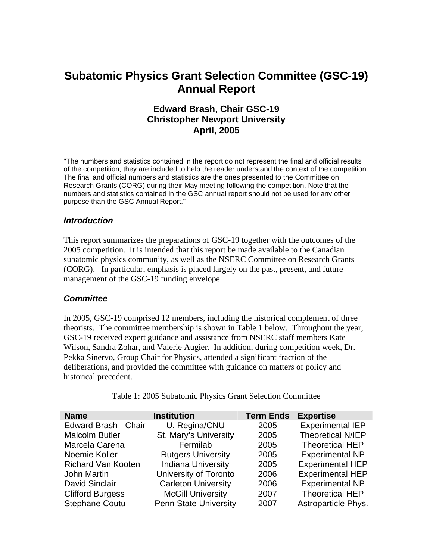# **Subatomic Physics Grant Selection Committee (GSC-19) Annual Report**

# **Edward Brash, Chair GSC-19 Christopher Newport University April, 2005**

"The numbers and statistics contained in the report do not represent the final and official results of the competition; they are included to help the reader understand the context of the competition. The final and official numbers and statistics are the ones presented to the Committee on Research Grants (CORG) during their May meeting following the competition. Note that the numbers and statistics contained in the GSC annual report should not be used for any other purpose than the GSC Annual Report."

#### *Introduction*

This report summarizes the preparations of GSC-19 together with the outcomes of the 2005 competition. It is intended that this report be made available to the Canadian subatomic physics community, as well as the NSERC Committee on Research Grants (CORG). In particular, emphasis is placed largely on the past, present, and future management of the GSC-19 funding envelope.

#### *Committee*

In 2005, GSC-19 comprised 12 members, including the historical complement of three theorists. The committee membership is shown in Table 1 below. Throughout the year, GSC-19 received expert guidance and assistance from NSERC staff members Kate Wilson, Sandra Zohar, and Valerie Augier. In addition, during competition week, Dr. Pekka Sinervo, Group Chair for Physics, attended a significant fraction of the deliberations, and provided the committee with guidance on matters of policy and historical precedent.

| <b>Name</b>                 | <b>Institution</b>           | <b>Term Ends</b> | <b>Expertise</b>        |
|-----------------------------|------------------------------|------------------|-------------------------|
| <b>Edward Brash - Chair</b> | U. Regina/CNU                | 2005             | <b>Experimental IEP</b> |
| <b>Malcolm Butler</b>       | St. Mary's University        | 2005             | Theoretical N/IEP       |
| Marcela Carena              | Fermilab                     | 2005             | <b>Theoretical HEP</b>  |
| Noemie Koller               | <b>Rutgers University</b>    | 2005             | <b>Experimental NP</b>  |
| <b>Richard Van Kooten</b>   | <b>Indiana University</b>    | 2005             | <b>Experimental HEP</b> |
| John Martin                 | University of Toronto        | 2006             | <b>Experimental HEP</b> |
| <b>David Sinclair</b>       | <b>Carleton University</b>   | 2006             | <b>Experimental NP</b>  |
| <b>Clifford Burgess</b>     | <b>McGill University</b>     | 2007             | <b>Theoretical HEP</b>  |
| <b>Stephane Coutu</b>       | <b>Penn State University</b> | 2007             | Astroparticle Phys.     |

Table 1: 2005 Subatomic Physics Grant Selection Committee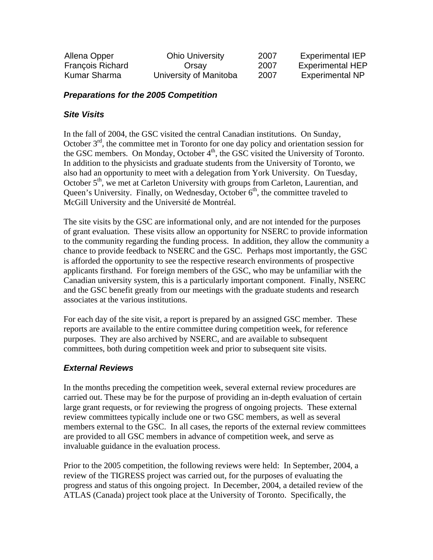| Allena Opper            | <b>Ohio University</b> | 2007 | <b>Experimental IEP</b> |
|-------------------------|------------------------|------|-------------------------|
| <b>François Richard</b> | Orsay                  | 2007 | <b>Experimental HEP</b> |
| Kumar Sharma            | University of Manitoba | 2007 | <b>Experimental NP</b>  |

## *Preparations for the 2005 Competition*

# *Site Visits*

In the fall of 2004, the GSC visited the central Canadian institutions. On Sunday, October  $3<sup>rd</sup>$ , the committee met in Toronto for one day policy and orientation session for the GSC members. On Monday, October 4<sup>th</sup>, the GSC visited the University of Toronto. In addition to the physicists and graduate students from the University of Toronto, we also had an opportunity to meet with a delegation from York University. On Tuesday, October  $5<sup>th</sup>$ , we met at Carleton University with groups from Carleton, Laurentian, and Queen's University. Finally, on Wednesday, October 6<sup>th</sup>, the committee traveled to McGill University and the Université de Montréal.

The site visits by the GSC are informational only, and are not intended for the purposes of grant evaluation. These visits allow an opportunity for NSERC to provide information to the community regarding the funding process. In addition, they allow the community a chance to provide feedback to NSERC and the GSC. Perhaps most importantly, the GSC is afforded the opportunity to see the respective research environments of prospective applicants firsthand. For foreign members of the GSC, who may be unfamiliar with the Canadian university system, this is a particularly important component. Finally, NSERC and the GSC benefit greatly from our meetings with the graduate students and research associates at the various institutions.

For each day of the site visit, a report is prepared by an assigned GSC member. These reports are available to the entire committee during competition week, for reference purposes. They are also archived by NSERC, and are available to subsequent committees, both during competition week and prior to subsequent site visits.

## *External Reviews*

In the months preceding the competition week, several external review procedures are carried out. These may be for the purpose of providing an in-depth evaluation of certain large grant requests, or for reviewing the progress of ongoing projects. These external review committees typically include one or two GSC members, as well as several members external to the GSC. In all cases, the reports of the external review committees are provided to all GSC members in advance of competition week, and serve as invaluable guidance in the evaluation process.

Prior to the 2005 competition, the following reviews were held: In September, 2004, a review of the TIGRESS project was carried out, for the purposes of evaluating the progress and status of this ongoing project. In December, 2004, a detailed review of the ATLAS (Canada) project took place at the University of Toronto. Specifically, the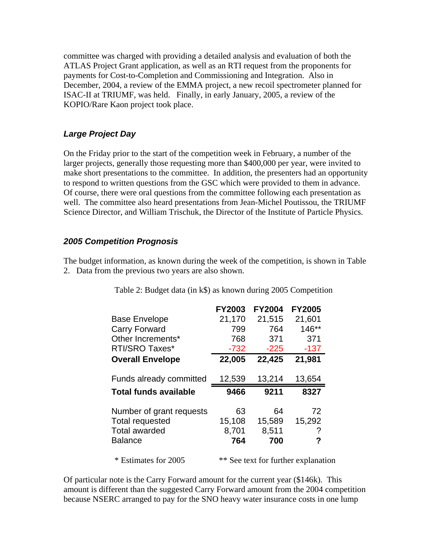committee was charged with providing a detailed analysis and evaluation of both the ATLAS Project Grant application, as well as an RTI request from the proponents for payments for Cost-to-Completion and Commissioning and Integration. Also in December, 2004, a review of the EMMA project, a new recoil spectrometer planned for ISAC-II at TRIUMF, was held. Finally, in early January, 2005, a review of the KOPIO/Rare Kaon project took place.

### *Large Project Day*

On the Friday prior to the start of the competition week in February, a number of the larger projects, generally those requesting more than \$400,000 per year, were invited to make short presentations to the committee. In addition, the presenters had an opportunity to respond to written questions from the GSC which were provided to them in advance. Of course, there were oral questions from the committee following each presentation as well. The committee also heard presentations from Jean-Michel Poutissou, the TRIUMF Science Director, and William Trischuk, the Director of the Institute of Particle Physics.

#### *2005 Competition Prognosis*

The budget information, as known during the week of the competition, is shown in Table 2. Data from the previous two years are also shown.

|                                                                                | <b>FY2003</b> | <b>FY2004</b> | <b>FY2005</b> |  |
|--------------------------------------------------------------------------------|---------------|---------------|---------------|--|
| <b>Base Envelope</b>                                                           | 21,170        | 21,515        | 21,601        |  |
| Carry Forward                                                                  | 799           | 764           | $146**$       |  |
| Other Increments*                                                              | 768           | 371           | 371           |  |
| RTI/SRO Taxes*                                                                 | $-732$        | $-225$        | $-137$        |  |
| <b>Overall Envelope</b>                                                        | 22,005        | 22,425        | 21,981        |  |
| Funds already committed                                                        | 12,539        | 13,214        | 13,654        |  |
| <b>Total funds available</b>                                                   | 9466          | 9211          | 8327          |  |
|                                                                                |               |               |               |  |
|                                                                                | 63            | 64            | 72            |  |
|                                                                                | 15,108        | 15,589        | 15,292        |  |
|                                                                                | 8,701         | 8,511         |               |  |
| Number of grant requests<br>Total requested<br>Total awarded<br><b>Balance</b> | 764           | 700           | ?             |  |

Table 2: Budget data (in k\$) as known during 2005 Competition

Of particular note is the Carry Forward amount for the current year (\$146k). This amount is different than the suggested Carry Forward amount from the 2004 competition because NSERC arranged to pay for the SNO heavy water insurance costs in one lump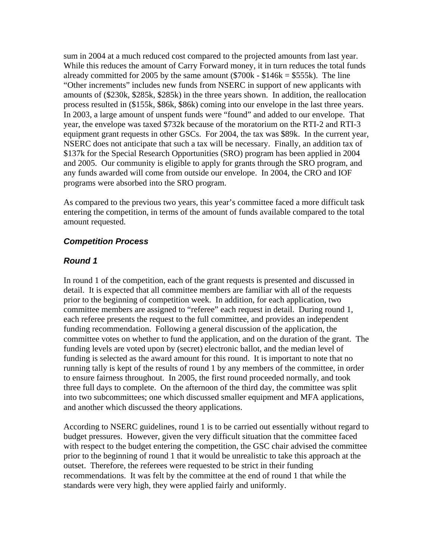sum in 2004 at a much reduced cost compared to the projected amounts from last year. While this reduces the amount of Carry Forward money, it in turn reduces the total funds already committed for 2005 by the same amount  $(\$700k - \$146k = \$555k)$ . The line "Other increments" includes new funds from NSERC in support of new applicants with amounts of (\$230k, \$285k, \$285k) in the three years shown. In addition, the reallocation process resulted in (\$155k, \$86k, \$86k) coming into our envelope in the last three years. In 2003, a large amount of unspent funds were "found" and added to our envelope. That year, the envelope was taxed \$732k because of the moratorium on the RTI-2 and RTI-3 equipment grant requests in other GSCs. For 2004, the tax was \$89k. In the current year, NSERC does not anticipate that such a tax will be necessary. Finally, an addition tax of \$137k for the Special Research Opportunities (SRO) program has been applied in 2004 and 2005. Our community is eligible to apply for grants through the SRO program, and any funds awarded will come from outside our envelope. In 2004, the CRO and IOF programs were absorbed into the SRO program.

As compared to the previous two years, this year's committee faced a more difficult task entering the competition, in terms of the amount of funds available compared to the total amount requested.

#### *Competition Process*

#### *Round 1*

In round 1 of the competition, each of the grant requests is presented and discussed in detail. It is expected that all committee members are familiar with all of the requests prior to the beginning of competition week. In addition, for each application, two committee members are assigned to "referee" each request in detail. During round 1, each referee presents the request to the full committee, and provides an independent funding recommendation. Following a general discussion of the application, the committee votes on whether to fund the application, and on the duration of the grant. The funding levels are voted upon by (secret) electronic ballot, and the median level of funding is selected as the award amount for this round. It is important to note that no running tally is kept of the results of round 1 by any members of the committee, in order to ensure fairness throughout. In 2005, the first round proceeded normally, and took three full days to complete. On the afternoon of the third day, the committee was split into two subcommittees; one which discussed smaller equipment and MFA applications, and another which discussed the theory applications.

According to NSERC guidelines, round 1 is to be carried out essentially without regard to budget pressures. However, given the very difficult situation that the committee faced with respect to the budget entering the competition, the GSC chair advised the committee prior to the beginning of round 1 that it would be unrealistic to take this approach at the outset. Therefore, the referees were requested to be strict in their funding recommendations. It was felt by the committee at the end of round 1 that while the standards were very high, they were applied fairly and uniformly.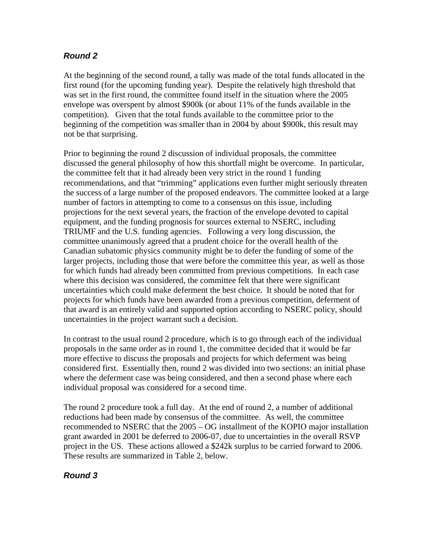# *Round 2*

At the beginning of the second round, a tally was made of the total funds allocated in the first round (for the upcoming funding year). Despite the relatively high threshold that was set in the first round, the committee found itself in the situation where the 2005 envelope was overspent by almost \$900k (or about 11% of the funds available in the competition). Given that the total funds available to the committee prior to the beginning of the competition was smaller than in 2004 by about \$900k, this result may not be that surprising.

Prior to beginning the round 2 discussion of individual proposals, the committee discussed the general philosophy of how this shortfall might be overcome. In particular, the committee felt that it had already been very strict in the round 1 funding recommendations, and that "trimming" applications even further might seriously threaten the success of a large number of the proposed endeavors. The committee looked at a large number of factors in attempting to come to a consensus on this issue, including projections for the next several years, the fraction of the envelope devoted to capital equipment, and the funding prognosis for sources external to NSERC, including TRIUMF and the U.S. funding agencies. Following a very long discussion, the committee unanimously agreed that a prudent choice for the overall health of the Canadian subatomic physics community might be to defer the funding of some of the larger projects, including those that were before the committee this year, as well as those for which funds had already been committed from previous competitions. In each case where this decision was considered, the committee felt that there were significant uncertainties which could make deferment the best choice. It should be noted that for projects for which funds have been awarded from a previous competition, deferment of that award is an entirely valid and supported option according to NSERC policy, should uncertainties in the project warrant such a decision.

In contrast to the usual round 2 procedure, which is to go through each of the individual proposals in the same order as in round 1, the committee decided that it would be far more effective to discuss the proposals and projects for which deferment was being considered first. Essentially then, round 2 was divided into two sections: an initial phase where the deferment case was being considered, and then a second phase where each individual proposal was considered for a second time.

The round 2 procedure took a full day. At the end of round 2, a number of additional reductions had been made by consensus of the committee. As well, the committee recommended to NSERC that the 2005 – OG installment of the KOPIO major installation grant awarded in 2001 be deferred to 2006-07, due to uncertainties in the overall RSVP project in the US. These actions allowed a \$242k surplus to be carried forward to 2006. These results are summarized in Table 2, below.

# *Round 3*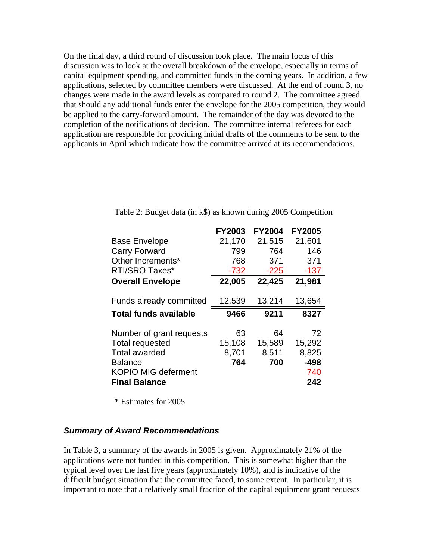On the final day, a third round of discussion took place. The main focus of this discussion was to look at the overall breakdown of the envelope, especially in terms of capital equipment spending, and committed funds in the coming years. In addition, a few applications, selected by committee members were discussed. At the end of round 3, no changes were made in the award levels as compared to round 2. The committee agreed that should any additional funds enter the envelope for the 2005 competition, they would be applied to the carry-forward amount. The remainder of the day was devoted to the completion of the notifications of decision. The committee internal referees for each application are responsible for providing initial drafts of the comments to be sent to the applicants in April which indicate how the committee arrived at its recommendations.

|                                | <b>FY2003</b> | <b>FY2004</b> | <b>FY2005</b> |
|--------------------------------|---------------|---------------|---------------|
| <b>Base Envelope</b>           | 21,170        | 21,515        | 21,601        |
| <b>Carry Forward</b>           | 799           | 764           | 146           |
| Other Increments*              | 768           | 371           | 371           |
| <b>RTI/SRO Taxes*</b>          | $-732$        | $-225$        | $-137$        |
| <b>Overall Envelope</b>        | 22,005        | 22,425        | 21,981        |
| <b>Funds already committed</b> | 12,539        | 13,214        | 13,654        |
|                                |               |               |               |
| <b>Total funds available</b>   | 9466          | 9211          | 8327          |
| Number of grant requests       | 63            | 64            | 72            |
| <b>Total requested</b>         | 15,108        | 15,589        | 15,292        |
| <b>Total awarded</b>           | 8,701         | 8,511         | 8,825         |
| <b>Balance</b>                 | 764           | 700           | $-498$        |
| <b>KOPIO MIG deferment</b>     |               |               | 740           |

Table 2: Budget data (in k\$) as known during 2005 Competition

\* Estimates for 2005

#### *Summary of Award Recommendations*

In Table 3, a summary of the awards in 2005 is given. Approximately 21% of the applications were not funded in this competition. This is somewhat higher than the typical level over the last five years (approximately 10%), and is indicative of the difficult budget situation that the committee faced, to some extent. In particular, it is important to note that a relatively small fraction of the capital equipment grant requests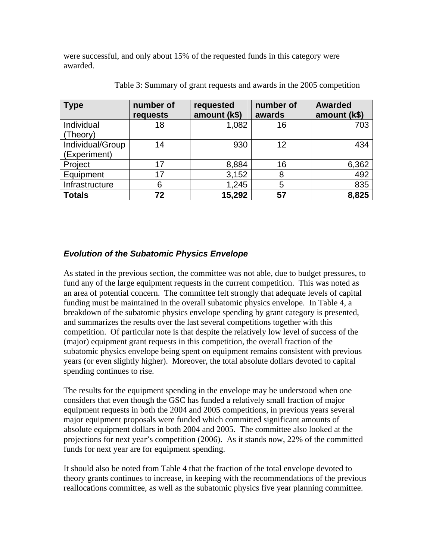were successful, and only about 15% of the requested funds in this category were awarded.

| <b>Type</b>      | number of<br>requests | requested<br>amount (k\$) | number of<br>awards | <b>Awarded</b><br>amount (k\$) |
|------------------|-----------------------|---------------------------|---------------------|--------------------------------|
| Individual       | 18                    | 1,082                     | 16                  | 703                            |
| (Theory)         |                       |                           |                     |                                |
| Individual/Group | 14                    | 930                       | 12                  | 434                            |
| (Experiment)     |                       |                           |                     |                                |
| Project          | 17                    | 8,884                     | 16                  | 6,362                          |
| Equipment        | 17                    | 3,152                     | 8                   | 492                            |
| Infrastructure   | 6                     | 1,245                     | 5                   | 835                            |
| <b>Totals</b>    | 72                    | 15,292                    | 57                  | 8,825                          |

Table 3: Summary of grant requests and awards in the 2005 competition

## *Evolution of the Subatomic Physics Envelope*

As stated in the previous section, the committee was not able, due to budget pressures, to fund any of the large equipment requests in the current competition. This was noted as an area of potential concern. The committee felt strongly that adequate levels of capital funding must be maintained in the overall subatomic physics envelope. In Table 4, a breakdown of the subatomic physics envelope spending by grant category is presented, and summarizes the results over the last several competitions together with this competition. Of particular note is that despite the relatively low level of success of the (major) equipment grant requests in this competition, the overall fraction of the subatomic physics envelope being spent on equipment remains consistent with previous years (or even slightly higher). Moreover, the total absolute dollars devoted to capital spending continues to rise.

The results for the equipment spending in the envelope may be understood when one considers that even though the GSC has funded a relatively small fraction of major equipment requests in both the 2004 and 2005 competitions, in previous years several major equipment proposals were funded which committed significant amounts of absolute equipment dollars in both 2004 and 2005. The committee also looked at the projections for next year's competition (2006). As it stands now, 22% of the committed funds for next year are for equipment spending.

It should also be noted from Table 4 that the fraction of the total envelope devoted to theory grants continues to increase, in keeping with the recommendations of the previous reallocations committee, as well as the subatomic physics five year planning committee.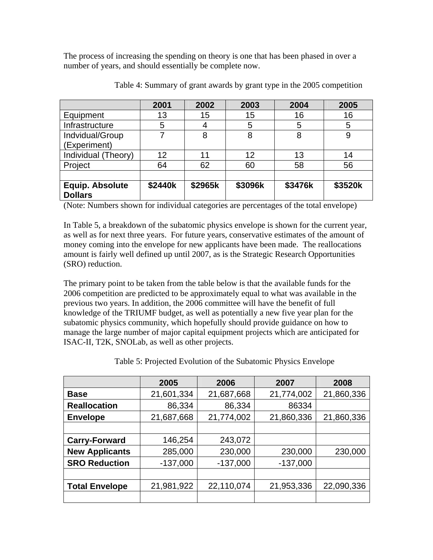The process of increasing the spending on theory is one that has been phased in over a number of years, and should essentially be complete now.

|                                          | 2001    | 2002    | 2003    | 2004    | 2005    |
|------------------------------------------|---------|---------|---------|---------|---------|
| Equipment                                | 13      | 15      | 15      | 16      | 16      |
| Infrastructure                           | 5       | 4       | 5       | 5       | 5       |
| Indvidual/Group                          | 7       | 8       | 8       | 8       |         |
| (Experiment)                             |         |         |         |         |         |
| Individual (Theory)                      | 12      | 11      | 12      | 13      | 14      |
| Project                                  | 64      | 62      | 60      | 58      | 56      |
|                                          |         |         |         |         |         |
| <b>Equip. Absolute</b><br><b>Dollars</b> | \$2440k | \$2965k | \$3096k | \$3476k | \$3520k |

Table 4: Summary of grant awards by grant type in the 2005 competition

(Note: Numbers shown for individual categories are percentages of the total envelope)

In Table 5, a breakdown of the subatomic physics envelope is shown for the current year, as well as for next three years. For future years, conservative estimates of the amount of money coming into the envelope for new applicants have been made. The reallocations amount is fairly well defined up until 2007, as is the Strategic Research Opportunities (SRO) reduction.

The primary point to be taken from the table below is that the available funds for the 2006 competition are predicted to be approximately equal to what was available in the previous two years. In addition, the 2006 committee will have the benefit of full knowledge of the TRIUMF budget, as well as potentially a new five year plan for the subatomic physics community, which hopefully should provide guidance on how to manage the large number of major capital equipment projects which are anticipated for ISAC-II, T2K, SNOLab, as well as other projects.

|                       | 2005       | 2006       | 2007       | 2008       |
|-----------------------|------------|------------|------------|------------|
| <b>Base</b>           | 21,601,334 | 21,687,668 | 21,774,002 | 21,860,336 |
| <b>Reallocation</b>   | 86,334     | 86,334     | 86334      |            |
| <b>Envelope</b>       | 21,687,668 | 21,774,002 | 21,860,336 | 21,860,336 |
|                       |            |            |            |            |
| <b>Carry-Forward</b>  | 146,254    | 243,072    |            |            |
| <b>New Applicants</b> | 285,000    | 230,000    | 230,000    | 230,000    |
| <b>SRO Reduction</b>  | $-137,000$ | $-137,000$ | $-137,000$ |            |
|                       |            |            |            |            |
| <b>Total Envelope</b> | 21,981,922 | 22,110,074 | 21,953,336 | 22,090,336 |
|                       |            |            |            |            |

Table 5: Projected Evolution of the Subatomic Physics Envelope